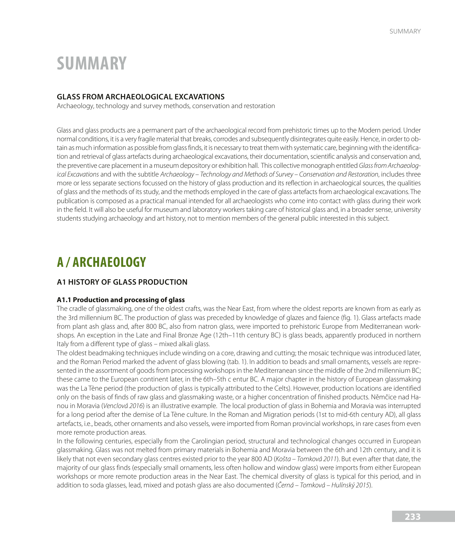# **SUMMARY**

# **GLASS FROM ARCHAEOLOGICAL EXCAVATIONS**

Archaeology, technology and survey methods, conservation and restoration

Glass and glass products are a permanent part of the archaeological record from prehistoric times up to the Modern period. Under normal conditions, it is a very fragile material that breaks, corrodes and subsequently disintegrates quite easily. Hence, in order to obtain as much information as possible from glass finds, it is necessary to treat them with systematic care, beginning with the identification and retrieval of glass artefacts during archaeological excavations, their documentation, scientific analysis and conservation and, the preventive care placement in a museum depository or exhibition hall. This collective monograph entitled *Glass from Archaeological Excavations* and with the subtitle *Archaeology – Technology and Methods of Survey – Conservation and Restoration*, includes three more or less separate sections focussed on the history of glass production and its reflection in archaeological sources, the qualities of glass and the methods of its study, and the methods employed in the care of glass artefacts from archaeological excavations. The publication is composed as a practical manual intended for all archaeologists who come into contact with glass during their work in the field. It will also be useful for museum and laboratory workers taking care of historical glass and, in a broader sense, university students studying archaeology and art history, not to mention members of the general public interested in this subject.

# **A / ARCHAEOLOGY**

## **A1 HISTORY OF GLASS PRODUCTION**

#### **A1.1 Production and processing of glass**

The cradle of glassmaking, one of the oldest crafts, was the Near East, from where the oldest reports are known from as early as the 3rd millennium BC. The production of glass was preceded by knowledge of glazes and faience (fig. 1). Glass artefacts made from plant ash glass and, after 800 BC, also from natron glass, were imported to prehistoric Europe from Mediterranean workshops. An exception in the Late and Final Bronze Age (12th–11th century BC) is glass beads, apparently produced in northern Italy from a different type of glass – mixed alkali glass.

The oldest beadmaking techniques include winding on a core, drawing and cutting; the mosaic technique was introduced later, and the Roman Period marked the advent of glass blowing (tab. 1). In addition to beads and small ornaments, vessels are represented in the assortment of goods from processing workshops in the Mediterranean since the middle of the 2nd millennium BC; these came to the European continent later, in the 6th–5th c entur BC. A major chapter in the history of European glassmaking was the La Tène period (the production of glass is typically attributed to the Celts). However, production locations are identified only on the basis of finds of raw glass and glassmaking waste, or a higher concentration of finished products. Němčice nad Hanou in Moravia (*Venclová 2016*) is an illustrative example. The local production of glass in Bohemia and Moravia was interrupted for a long period after the demise of La Tène culture. In the Roman and Migration periods (1st to mid-6th century AD), all glass artefacts, i.e., beads, other ornaments and also vessels, were imported from Roman provincial workshops, in rare cases from even more remote production areas.

In the following centuries, especially from the Carolingian period, structural and technological changes occurred in European glassmaking. Glass was not melted from primary materials in Bohemia and Moravia between the 6th and 12th century, and it is likely that not even secondary glass centres existed prior to the year 800 AD (*Ko*š*ta – Tomková 2011*). But even after that date, the majority of our glass finds (especially small ornaments, less often hollow and window glass) were imports from either European workshops or more remote production areas in the Near East. The chemical diversity of glass is typical for this period, and in addition to soda glasses, lead, mixed and potash glass are also documented (Č*erná – Tomková – Hulínsk*ý *2015*).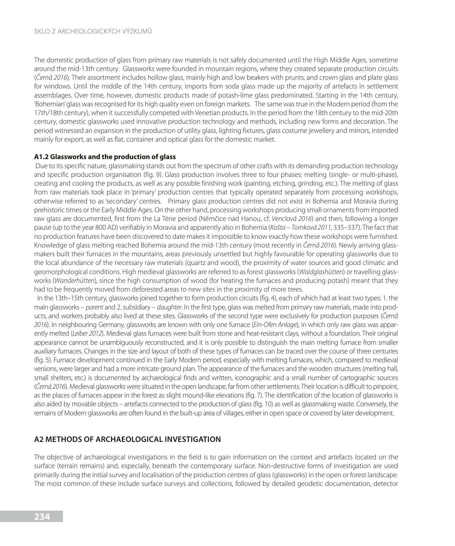The domestic production of glass from primary raw materials is not safely documented until the High Middle Ages, sometime around the mid-13th century. Glassworks were founded in mountain regions, where they created separate production circuits (Č*erná 2016*). Their assortment includes hollow glass, mainly high and low beakers with prunts, and crown glass and plate glass for windows. Until the middle of the 14th century, imports from soda glass made up the majority of artefacts in settlement assemblages. Over time, however, domestic products made of potash-lime glass predominated. Starting in the 14th century, 'Bohemian' glass was recognised for its high quality even on foreign markets. The same was true in the Modern period (from the 17th/18th century), when it successfully competed with Venetian products. In the period from the 18th century to the mid-20th century, domestic glassworks used innovative production technology and methods, including new forms and decoration. The period witnessed an expansion in the production of utility glass, lighting fixtures, glass costume jewellery and mirrors, intended mainly for export, as well as flat, container and optical glass for the domestic market.

#### **A1.2 Glassworks and the production of glass**

 Due to its specific nature, glassmaking stands out from the spectrum of other crafts with its demanding production technology and specific production organisation (fig. 9). Glass production involves three to four phases: melting (single- or multi-phase), creating and cooling the products, as well as any possible finishing work (painting, etching, grinding, etc.). The melting of glass from raw materials took place in 'primary' production centres that typically operated separately from processing workshops, otherwise referred to as 'secondary' centres. Primary glass production centres did not exist in Bohemia and Moravia during prehistoric times or the Early Middle Ages. On the other hand, processing workshops producing small ornaments from imported raw glass are documented, first from the La Tène period (Němčice nad Hanou, cf. *Venclová 2016*) and then, following a longer pause (up to the year 800 AD) verifiably in Moravia and apparently also in Bohemia (*Ko*š*ta – Tomková 2011,* 335–337). The fact that no production features have been discovered to date makes it impossible to know exactly how these workshops were furnished. Knowledge of glass melting reached Bohemia around the mid-13th century (most recently in Č*erná 2016*). Newly arriving glassmakers built their furnaces in the mountains, areas previously unsettled but highly favourable for operating glassworks due to the local abundance of the necessary raw materials (quartz and wood), the proximity of water sources and good climatic and geomorphological conditions. High medieval glassworks are referred to as forest glassworks (*Waldglashütten*) or travelling glassworks (*Wanderhütten*)*,* since the high consumption of wood (for heating the furnaces and producing potash) meant that they had to be frequently moved from deforested areas to new sites in the proximity of more trees.

 In the 13th–15th century, glassworks joined together to form production circuits (fig. 4), each of which had at least two types: 1. the main glassworks – *parent* and 2. subsidiary – *daughter*. In the first type, glass was melted from primary raw materials, made into products, and workers probably also lived at these sites. Glassworks of the second type were exclusively for production purposes (Č*erná 2016*). In neighbouring Germany, glassworks are known with only one furnace (*Ein-Ofen Anlage*), in which only raw glass was apparently melted (*Leiber 2012*). Medieval glass furnaces were built from stone and heat-resistant clays, without a foundation. Their original appearance cannot be unambiguously reconstructed, and it is only possible to distinguish the main melting furnace from smaller auxiliary furnaces. Changes in the size and layout of both of these types of furnaces can be traced over the course of three centuries (fig. 5). Furnace development continued in the Early Modern period, especially with melting furnaces, which, compared to medieval versions, were larger and had a more intricate ground plan. The appearance of the furnaces and the wooden structures (melting hall, small shelters, etc.) is documented by archaeological finds and written, iconographic and a small number of cartographic sources (Č*erná 2016*). Medieval glassworks were situated in the open landscape, far from other settlements. Their location is difficult to pinpoint, as the places of furnaces appear in the forest as slight mound-like elevations (fig. 7). The identification of the location of glassworks is also aided by movable objects – artefacts connected to the production of glass (fig. 10) as well as glassmaking waste. Conversely, the remains of Modern glassworks are often found in the built-up area of villages, either in open space or covered by later development.

# **A2 METHODS OF ARCHAEOLOGICAL INVESTIGATION**

The objective of archaeological investigations in the field is to gain information on the context and artefacts located on the surface (terrain remains) and, especially, beneath the contemporary surface. Non-destructive forms of investigation are used primarily during the initial survey and localisation of the production centres of glass (glassworks) in the open or forest landscape. The most common of these include surface surveys and collections, followed by detailed geodetic documentation, detector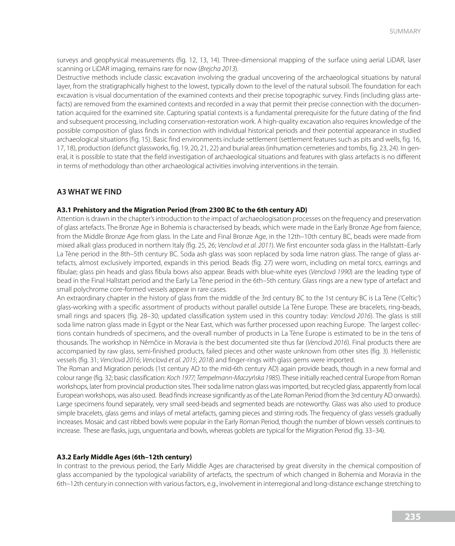surveys and geophysical measurements (fig. 12, 13, 14). Three-dimensional mapping of the surface using aerial LiDAR, laser scanning or LiDAR imaging, remains rare for now (*Brejcha 2013*).

Destructive methods include classic excavation involving the gradual uncovering of the archaeological situations by natural layer, from the stratigraphically highest to the lowest, typically down to the level of the natural subsoil. The foundation for each excavation is visual documentation of the examined contexts and their precise topographic survey. Finds (including glass artefacts) are removed from the examined contexts and recorded in a way that permit their precise connection with the documentation acquired for the examined site. Capturing spatial contexts is a fundamental prerequisite for the future dating of the find and subsequent processing, including conservation-restoration work. A high-quality excavation also requires knowledge of the possible composition of glass finds in connection with individual historical periods and their potential appearance in studied archaeological situations (fig. 15). Basic find environments include settlement (settlement features such as pits and wells, fig. 16, 17, 18), production (defunct glassworks, fig. 19, 20, 21, 22) and burial areas (inhumation cemeteries and tombs, fig. 23, 24). In general, it is possible to state that the field investigation of archaeological situations and features with glass artefacts is no different in terms of methodology than other archaeological activities involving interventions in the terrain.

### **A3 WHAT WE FIND**

#### **A3.1 Prehistory and the Migration Period (from 2300 BC to the 6th century AD)**

Attention is drawn in the chapter'sintroduction to the impact of archaeologisation processes on the frequency and preservation of glass artefacts. The Bronze Age in Bohemia is characterised by beads, which were made in the Early Bronze Age from faience, from the Middle Bronze Age from glass. In the Late and Final Bronze Age, in the 12th–10th century BC, beads were made from mixed alkali glass produced in northern Italy (fig. 25, 26; *Venclová et al. 2011*). We first encounter soda glass in the Hallstatt–Early La Tène period in the 8th–5th century BC. Soda ash glass was soon replaced by soda lime natron glass. The range of glass artefacts, almost exclusively imported, expands in this period. Beads (fig. 27) were worn, including on metal torcs, earrings and fibulae; glass pin heads and glass fibula bows also appear. Beads with blue-white eyes (*Venclová 1990*) are the leading type of bead in the Final Hallstatt period and the Early La Tène period in the 6th–5th century. Glass rings are a new type of artefact and small polychrome core-formed vessels appear in rare cases.

An extraordinary chapter in the history of glass from the middle of the 3rd century BC to the 1st century BC is La Tène ('Celtic') glass-working with a specific assortment of products without parallel outside La Tène Europe. These are bracelets, ring-beads, small rings and spacers (fig. 28–30; updated classification system used in this country today: *Venclová 2016*). The glass is still soda lime natron glass made in Egypt or the Near East, which was further processed upon reaching Europe. The largest collections contain hundreds of specimens, and the overall number of products in La Tène Europe is estimated to be in the tens of thousands. The workshop in Němčice in Moravia is the best documented site thus far (*Venclová 2016*). Final products there are accompanied by raw glass, semi-finished products, failed pieces and other waste unknown from other sites (fig. 3). Hellenistic vessels (fig. 31; *Venclová 2016*; *Venclová et al. 2015*; *2018*) and finger-rings with glass gems were imported.

The Roman and Migration periods (1st century AD to the mid-6th century AD) again provide beads, though in a new formal and colour range (fig. 32; basic classification: *Koch 1977; Tempelmann-Maczy*ń*ska 1985*). These initially reached central Europe from Roman workshops, later from provincial production sites. Their soda lime natron glass was imported, but recycled glass, apparently from local European workshops, was also used. Bead finds increase significantly as of the Late Roman Period (from the 3rd century AD onwards). Large specimens found separately, very small seed-beads and segmented beads are noteworthy. Glass was also used to produce simple bracelets, glass gems and inlays of metal artefacts, gaming pieces and stirring rods. The frequency of glass vessels gradually increases. Mosaic and cast ribbed bowls were popular in the Early Roman Period, though the number of blown vessels continues to increase. These are flasks, jugs, unguentaria and bowls, whereas goblets are typical for the Migration Period (fig. 33–34).

#### **A3.2 Early Middle Ages (6th–12th century)**

In contrast to the previous period, the Early Middle Ages are characterised by great diversity in the chemical composition of glass accompanied by the typological variability of artefacts, the spectrum of which changed in Bohemia and Moravia in the 6th–12th century in connection with various factors, e.g., involvement in interregional and long-distance exchange stretching to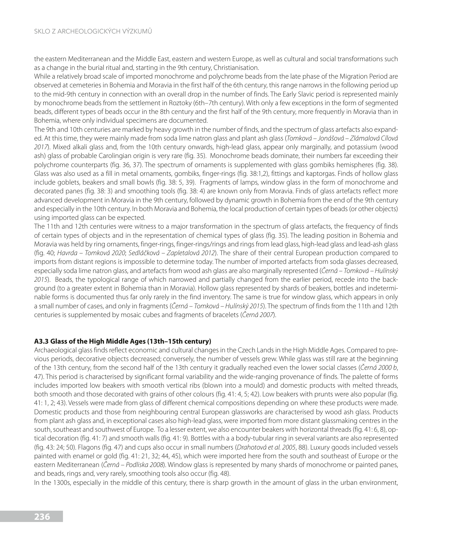the eastern Mediterranean and the Middle East, eastern and western Europe, as well as cultural and social transformations such as a change in the burial ritual and, starting in the 9th century, Christianisation.

While a relatively broad scale of imported monochrome and polychrome beads from the late phase of the Migration Period are observed at cemeteries in Bohemia and Moravia in the first half of the 6th century, this range narrows in the following period up to the mid-9th century in connection with an overall drop in the number of finds. The Early Slavic period is represented mainly by monochrome beads from the settlement in Roztoky (6th–7th century). With only a few exceptions in the form of segmented beads, different types of beads occur in the 8th century and the first half of the 9th century, more frequently in Moravia than in Bohemia, where only individual specimens are documented.

The 9th and 10th centuries are marked by heavy growth in the number of finds, and the spectrum of glass artefacts also expanded. At this time, they were mainly made from soda lime natron glass and plant ash glass (*Tomková – Joná*š*ová – Zlámalová Cílová 2017*). Mixed alkali glass and, from the 10th century onwards, high-lead glass, appear only marginally, and potassium (wood ash) glass of probable Carolingian origin is very rare (fig. 35). Monochrome beads dominate, their numbers far exceeding their polychrome counterparts (fig. 36, 37). The spectrum of ornaments is supplemented with glass gombiks hemispheres (fig. 38). Glass was also used as a fill in metal ornaments, gombiks, finger-rings (fig. 38:1,2), fittings and kaptorgas. Finds of hollow glass include goblets, beakers and small bowls (fig. 38: 5, 39). Fragments of lamps, window glass in the form of monochrome and decorated panes (fig. 38: 3) and smoothing tools (fig. 38: 4) are known only from Moravia. Finds of glass artefacts reflect more advanced development in Moravia in the 9th century, followed by dynamic growth in Bohemia from the end of the 9th century and especially in the 10th century. In both Moravia and Bohemia, the local production of certain types of beads (or other objects) using imported glass can be expected.

The 11th and 12th centuries were witness to a major transformation in the spectrum of glass artefacts, the frequency of finds of certain types of objects and in the representation of chemical types of glass (fig. 35). The leading position in Bohemia and Moravia was held by ring ornaments, finger-rings, finger-rings/rings and rings from lead glass, high-lead glass and lead-ash glass (fig. 40; *Havrda – Tomková 2020*; *Sedlá*č*ková – Zapletalová 2012*). The share of their central European production compared to imports from distant regions is impossible to determine today. The number of imported artefacts from soda glasses decreased, especially soda lime natron glass, and artefacts from wood ash glass are also marginally represented (Č*erná – Tomková – Hulínsk*ý *2015*). Beads, the typological range of which narrowed and partially changed from the earlier period, recede into the background (to a greater extent in Bohemia than in Moravia). Hollow glass represented by shards of beakers, bottles and indeterminable forms is documented thus far only rarely in the find inventory. The same is true for window glass, which appears in only a small number of cases, and only in fragments (Č*erná – Tomková – Hulínsk*ý *2015*). The spectrum of finds from the 11th and 12th centuries is supplemented by mosaic cubes and fragments of bracelets (Č*erná 2007*).

#### **A3.3 Glass of the High Middle Ages (13th–15th century)**

Archaeological glass finds reflect economic and cultural changes in the Czech Lands in the High Middle Ages. Compared to previous periods, decorative objects decreased; conversely, the number of vessels grew. While glass was still rare at the beginning of the 13th century, from the second half of the 13th century it gradually reached even the lower social classes (Č*erná 2000 b*, 47). This period is characterised by significant formal variability and the wide-ranging provenance of finds. The palette of forms includes imported low beakers with smooth vertical ribs (blown into a mould) and domestic products with melted threads, both smooth and those decorated with grains of other colours (fig. 41: 4, 5; 42). Low beakers with prunts were also popular (fig. 41: 1, 2; 43). Vessels were made from glass of different chemical compositions depending on where these products were made. Domestic products and those from neighbouring central European glassworks are characterised by wood ash glass. Products from plant ash glass and, in exceptional cases also high-lead glass, were imported from more distant glassmaking centres in the south, southeast and southwest of Europe. To a lesser extent, we also encounter beakers with horizontal threads (fig. 41: 6, 8), optical decoration (fig. 41: 7) and smooth walls (fig. 41: 9). Bottles with a a body-tubular ring in several variants are also represented (fig. 43: 24; 50). Flagons (fig. 47) and cups also occur in small numbers (*Drahotová et al. 2005*, 88). Luxury goods included vessels painted with enamel or gold (fig. 41: 21, 32; 44, 45), which were imported here from the south and southeast of Europe or the eastern Mediterranean (Č*erná – Podliska 2008*). Window glass is represented by many shards of monochrome or painted panes, and beads, rings and, very rarely, smoothing tools also occur (fig. 48).

In the 1300s, especially in the middle of this century, there is sharp growth in the amount of glass in the urban environment,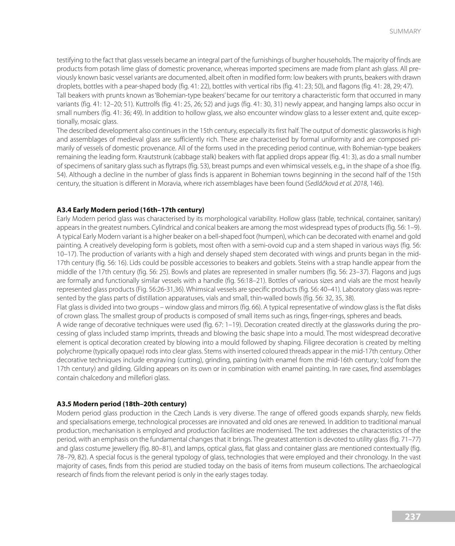testifying to the fact that glass vessels became an integral part of the furnishings of burgher households. The majority of finds are products from potash lime glass of domestic provenance, whereas imported specimens are made from plant ash glass. All previously known basic vessel variants are documented, albeit often in modified form: low beakers with prunts, beakers with drawn droplets, bottles with a pear-shaped body (fig. 41: 22), bottles with vertical ribs (fig. 41: 23; 50), and flagons (fig. 41: 28, 29; 47). Tall beakers with prunts known as 'Bohemian-type beakers' became for our territory a characteristic form that occurred in many variants (fig. 41: 12–20; 51). Kuttrolfs (fig. 41: 25, 26; 52) and jugs (fig. 41: 30, 31) newly appear, and hanging lamps also occur in small numbers (fig. 41: 36; 49). In addition to hollow glass, we also encounter window glass to a lesser extent and, quite excep-

tionally, mosaic glass.

The described development also continues in the 15th century, especially its first half. The output of domestic glassworks is high and assemblages of medieval glass are sufficiently rich. These are characterised by formal uniformity and are composed primarily of vessels of domestic provenance. All of the forms used in the preceding period continue, with Bohemian-type beakers remaining the leading form. Krautstrunk (cabbage stalk) beakers with flat applied drops appear (fig. 41: 3), as do a small number of specimens of sanitary glass such as flytraps (fig. 53), breast pumps and even whimsical vessels, e.g., in the shape of a shoe (fig. 54). Although a decline in the number of glass finds is apparent in Bohemian towns beginning in the second half of the 15th century, the situation is different in Moravia, where rich assemblages have been found (*Sedlá*č*ková et al. 2018*, 146).

#### **A3.4 Early Modern period (16th–17th century)**

Early Modern period glass was characterised by its morphological variability. Hollow glass (table, technical, container, sanitary) appears in the greatest numbers. Cylindrical and conical beakers are among the most widespread types of products (fig. 56: 1–9). A typical Early Modern variant is a higher beaker on a bell-shaped foot (humpen), which can be decorated with enamel and gold painting. A creatively developing form is goblets, most often with a semi-ovoid cup and a stem shaped in various ways (fig. 56: 10–17). The production of variants with a high and densely shaped stem decorated with wings and prunts began in the mid-17th century (fig. 56: 16). Lids could be possible accessories to beakers and goblets. Steins with a strap handle appear from the middle of the 17th century (fig. 56: 25). Bowls and plates are represented in smaller numbers (fig. 56: 23–37). Flagons and jugs are formally and functionally similar vessels with a handle (fig. 56:18–21). Bottles of various sizes and vials are the most heavily represented glass products (Fig. 56:26-31,36). Whimsical vessels are specific products (fig. 56: 40–41). Laboratory glass was represented by the glass parts of distillation apparatuses, vials and small, thin-walled bowls (fig. 56: 32, 35, 38).

Flat glass is divided into two groups – window glass and mirrors (fig. 66). A typical representative of window glass is the flat disks of crown glass. The smallest group of products is composed of small items such as rings, finger-rings, spheres and beads.

A wide range of decorative techniques were used (fig. 67: 1–19). Decoration created directly at the glassworks during the processing of glass included stamp imprints, threads and blowing the basic shape into a mould. The most widespread decorative element is optical decoration created by blowing into a mould followed by shaping. Filigree decoration is created by melting polychrome (typically opaque) rods into clear glass. Stems with inserted coloured threads appear in the mid-17th century. Other decorative techniques include engraving (cutting), grinding, painting (with enamel from the mid-16th century; 'cold' from the 17th century) and gilding. Gilding appears on its own or in combination with enamel painting. In rare cases, find assemblages contain chalcedony and millefiori glass.

#### **A3.5 Modern period (18th–20th century)**

Modern period glass production in the Czech Lands is very diverse. The range of offered goods expands sharply, new fields and specialisations emerge, technological processes are innovated and old ones are renewed. In addition to traditional manual production, mechanisation is employed and production facilities are modernised. The text addresses the characteristics of the period, with an emphasis on the fundamental changes that it brings. The greatest attention is devoted to utility glass (fig. 71–77) and glass costume jewellery (fig. 80–81), and lamps, optical glass, flat glass and container glass are mentioned contextually (fig. 78–79, 82). A special focus is the general typology of glass, technologies that were employed and their chronology. In the vast majority of cases, finds from this period are studied today on the basis of items from museum collections. The archaeological research of finds from the relevant period is only in the early stages today.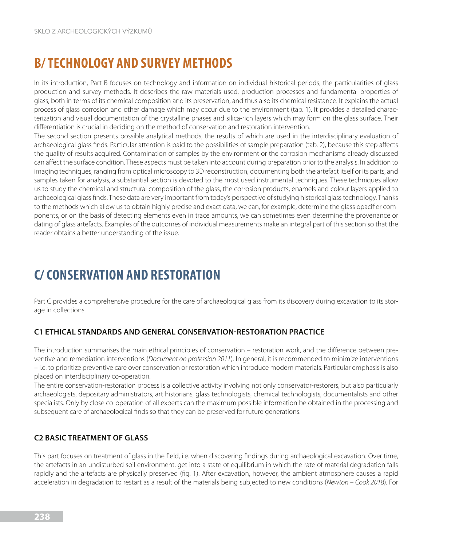# **B/ TECHNOLOGY AND SURVEY METHODS**

In its introduction, Part B focuses on technology and information on individual historical periods, the particularities of glass production and survey methods. It describes the raw materials used, production processes and fundamental properties of glass, both in terms of its chemical composition and its preservation, and thus also its chemical resistance. It explains the actual process of glass corrosion and other damage which may occur due to the environment (tab. 1). It provides a detailed characterization and visual documentation of the crystalline phases and silica-rich layers which may form on the glass surface. Their differentiation is crucial in deciding on the method of conservation and restoration intervention.

The second section presents possible analytical methods, the results of which are used in the interdisciplinary evaluation of archaeological glass finds. Particular attention is paid to the possibilities of sample preparation (tab. 2), because this step affects the quality of results acquired. Contamination of samples by the environment or the corrosion mechanisms already discussed can affect the surface condition. These aspects must be taken into account during preparation prior to the analysis. In addition to imaging techniques, ranging from optical microscopy to 3D reconstruction, documenting both the artefact itself or its parts, and samples taken for analysis, a substantial section is devoted to the most used instrumental techniques. These techniques allow us to study the chemical and structural composition of the glass, the corrosion products, enamels and colour layers applied to archaeological glass finds. These data are very important from today's perspective of studying historical glass technology. Thanks to the methods which allow us to obtain highly precise and exact data, we can, for example, determine the glass opacifier components, or on the basis of detecting elements even in trace amounts, we can sometimes even determine the provenance or dating of glass artefacts. Examples of the outcomes of individual measurements make an integral part of this section so that the reader obtains a better understanding of the issue.

# **C/ CONSERVATION AND RESTORATION**

Part C provides a comprehensive procedure for the care of archaeological glass from its discovery during excavation to its storage in collections.

# **C1 ETHICAL STANDARDS AND GENERAL CONSERVATION-RESTORATION PRACTICE**

The introduction summarises the main ethical principles of conservation – restoration work, and the difference between preventive and remediation interventions (*Document on profession 2011*). In general, it is recommended to minimize interventions – i.e. to prioritize preventive care over conservation or restoration which introduce modern materials. Particular emphasis is also placed on interdisciplinary co-operation.

The entire conservation-restoration process is a collective activity involving not only conservator-restorers, but also particularly archaeologists, depositary administrators, art historians, glass technologists, chemical technologists, documentalists and other specialists. Only by close co-operation of all experts can the maximum possible information be obtained in the processing and subsequent care of archaeological finds so that they can be preserved for future generations.

## **C2 BASIC TREATMENT OF GLASS**

This part focuses on treatment of glass in the field, i.e. when discovering findings during archaeological excavation. Over time, the artefacts in an undisturbed soil environment, get into a state of equilibrium in which the rate of material degradation falls rapidly and the artefacts are physically preserved (fig. 1). After excavation, however, the ambient atmosphere causes a rapid acceleration in degradation to restart as a result of the materials being subjected to new conditions (*Newton – Cook 2018*). For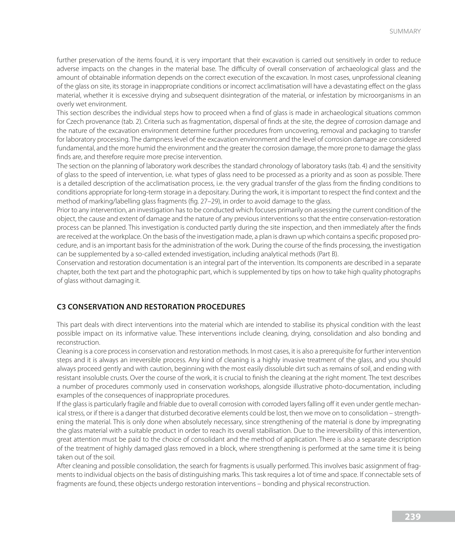further preservation of the items found, it is very important that their excavation is carried out sensitively in order to reduce adverse impacts on the changes in the material base. The difficulty of overall conservation of archaeological glass and the amount of obtainable information depends on the correct execution of the excavation. In most cases, unprofessional cleaning of the glass on site, its storage in inappropriate conditions or incorrect acclimatisation will have a devastating effect on the glass material, whether it is excessive drying and subsequent disintegration of the material, or infestation by microorganisms in an overly wet environment.

This section describes the individual steps how to proceed when a find of glass is made in archaeological situations common for Czech provenance (tab. 2). Criteria such as fragmentation, dispersal of finds at the site, the degree of corrosion damage and the nature of the excavation environment determine further procedures from uncovering, removal and packaging to transfer for laboratory processing. The dampness level of the excavation environment and the level of corrosion damage are considered fundamental, and the more humid the environment and the greater the corrosion damage, the more prone to damage the glass finds are, and therefore require more precise intervention.

The section on the planning of laboratory work describes the standard chronology of laboratory tasks (tab. 4) and the sensitivity of glass to the speed of intervention, i.e. what types of glass need to be processed as a priority and as soon as possible. There is a detailed description of the acclimatisation process, i.e. the very gradual transfer of the glass from the finding conditions to conditions appropriate for long-term storage in a depositary. During the work, it is important to respect the find context and the method of marking/labelling glass fragments (fig. 27–29), in order to avoid damage to the glass.

Prior to any intervention, an investigation has to be conducted which focuses primarily on assessing the current condition of the object, the cause and extent of damage and the nature of any previous interventions so that the entire conservation-restoration process can be planned. This investigation is conducted partly during the site inspection, and then immediately after the finds are received at the workplace. On the basis of the investigation made, a plan is drawn up which contains a specific proposed procedure, and is an important basis for the administration of the work. During the course of the finds processing, the investigation can be supplemented by a so-called extended investigation, including analytical methods (Part B).

Conservation and restoration documentation is an integral part of the intervention. Its components are described in a separate chapter, both the text part and the photographic part, which is supplemented by tips on how to take high quality photographs of glass without damaging it.

#### **C3 CONSERVATION AND RESTORATION PROCEDURES**

This part deals with direct interventions into the material which are intended to stabilise its physical condition with the least possible impact on its informative value. These interventions include cleaning, drying, consolidation and also bonding and reconstruction.

Cleaning is a core process in conservation and restoration methods. In most cases, it is also a prerequisite for further intervention steps and it is always an irreversible process. Any kind of cleaning is a highly invasive treatment of the glass, and you should always proceed gently and with caution, beginning with the most easily dissoluble dirt such as remains of soil, and ending with resistant insoluble crusts. Over the course of the work, it is crucial to finish the cleaning at the right moment. The text describes a number of procedures commonly used in conservation workshops, alongside illustrative photo-documentation, including examples of the consequences of inappropriate procedures.

If the glass is particularly fragile and friable due to overall corrosion with corroded layers falling off it even under gentle mechanical stress, or if there is a danger that disturbed decorative elements could be lost, then we move on to consolidation – strengthening the material. This is only done when absolutely necessary, since strengthening of the material is done by impregnating the glass material with a suitable product in order to reach its overall stabilisation. Due to the irreversibility of this intervention, great attention must be paid to the choice of consolidant and the method of application. There is also a separate description of the treatment of highly damaged glass removed in a block, where strengthening is performed at the same time it is being taken out of the soil.

After cleaning and possible consolidation, the search for fragments is usually performed. This involves basic assignment of fragments to individual objects on the basis of distinguishing marks. This task requires a lot of time and space. If connectable sets of fragments are found, these objects undergo restoration interventions – bonding and physical reconstruction.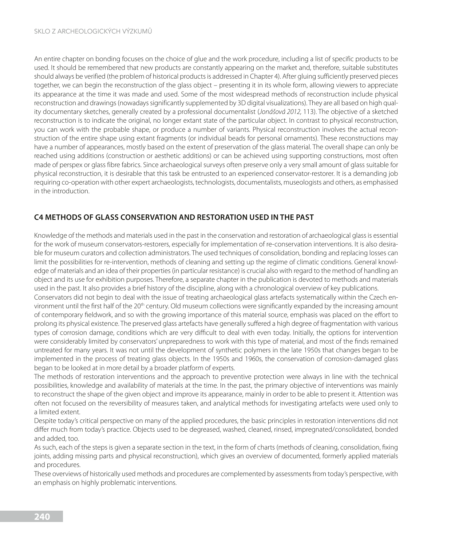An entire chapter on bonding focuses on the choice of glue and the work procedure, including a list of specific products to be used. It should be remembered that new products are constantly appearing on the market and, therefore, suitable substitutes should always be verified (the problem of historical products is addressed in Chapter 4). After gluing sufficiently preserved pieces together, we can begin the reconstruction of the glass object – presenting it in its whole form, allowing viewers to appreciate its appearance at the time it was made and used. Some of the most widespread methods of reconstruction include physical reconstruction and drawings (nowadays significantly supplemented by 3D digital visualizations). They are all based on high quality documentary sketches, generally created by a professional documentalist (*Joná*š*ová 2012,* 113). The objective of a sketched reconstruction is to indicate the original, no longer extant state of the particular object. In contrast to physical reconstruction, you can work with the probable shape, or produce a number of variants. Physical reconstruction involves the actual reconstruction of the entire shape using extant fragments (or individual beads for personal ornaments). These reconstructions may have a number of appearances, mostly based on the extent of preservation of the glass material. The overall shape can only be reached using additions (construction or aesthetic additions) or can be achieved using supporting constructions, most often made of perspex or glass fibre fabrics. Since archaeological surveys often preserve only a very small amount of glass suitable for physical reconstruction, it is desirable that this task be entrusted to an experienced conservator-restorer. It is a demanding job requiring co-operation with other expert archaeologists, technologists, documentalists, museologists and others, as emphasised in the introduction.

# **C4 METHODS OF GLASS CONSERVATION AND RESTORATION USED IN THE PAST**

Knowledge of the methods and materials used in the past in the conservation and restoration of archaeological glass is essential for the work of museum conservators-restorers, especially for implementation of re-conservation interventions. It is also desirable for museum curators and collection administrators. The used techniques of consolidation, bonding and replacing losses can limit the possibilities for re-intervention, methods of cleaning and setting up the regime of climatic conditions. General knowledge of materials and an idea of their properties (in particular resistance) is crucial also with regard to the method of handling an object and its use for exhibition purposes. Therefore, a separate chapter in the publication is devoted to methods and materials used in the past. It also provides a brief history of the discipline, along with a chronological overview of key publications. Conservators did not begin to deal with the issue of treating archaeological glass artefacts systematically within the Czech environment until the first half of the 20<sup>th</sup> century. Old museum collections were significantly expanded by the increasing amount of contemporary fieldwork, and so with the growing importance of this material source, emphasis was placed on the effort to prolong its physical existence. The preserved glass artefacts have generally suffered a high degree of fragmentation with various types of corrosion damage, conditions which are very difficult to deal with even today. Initially, the options for intervention were considerably limited by conservators' unpreparedness to work with this type of material, and most of the finds remained untreated for many years. It was not until the development of synthetic polymers in the late 1950s that changes began to be

began to be looked at in more detail by a broader platform of experts. The methods of restoration interventions and the approach to preventive protection were always in line with the technical possibilities, knowledge and availability of materials at the time. In the past, the primary objective of interventions was mainly to reconstruct the shape of the given object and improve its appearance, mainly in order to be able to present it. Attention was often not focused on the reversibility of measures taken, and analytical methods for investigating artefacts were used only to a limited extent.

implemented in the process of treating glass objects. In the 1950s and 1960s, the conservation of corrosion-damaged glass

Despite today's critical perspective on many of the applied procedures, the basic principles in restoration interventions did not differ much from today's practice. Objects used to be degreased, washed, cleaned, rinsed, impregnated/consolidated, bonded and added, too.

As such, each of the steps is given a separate section in the text, in the form of charts (methods of cleaning, consolidation, fixing joints, adding missing parts and physical reconstruction), which gives an overview of documented, formerly applied materials and procedures.

These overviews of historically used methods and procedures are complemented by assessments from today's perspective, with an emphasis on highly problematic interventions.